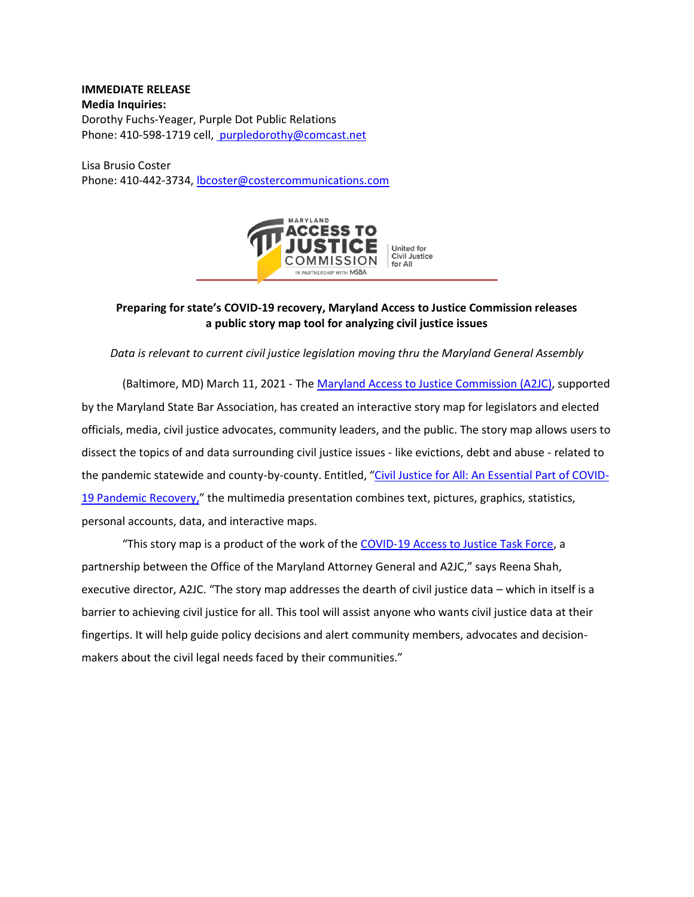**IMMEDIATE RELEASE Media Inquiries:**  Dorothy Fuchs-Yeager, Purple Dot Public Relations Phone: 410-598-1719 cell, [purpledorothy@comcast.net](mailto:%20purpledorothy@comcast.net)

Lisa Brusio Coster Phone: 410-442-3734[, lbcoster@costercommunications.com](mailto:lbcoster@costercommunications.com)



## **Preparing for state's COVID-19 recovery, Maryland Access to Justice Commission releases a public story map tool for analyzing civil justice issues**

## *Data is relevant to current civil justice legislation moving thru the Maryland General Assembly*

(Baltimore, MD) March 11, 2021 - The [Maryland Access to Justice Commission](https://www.mdaccesstojustice.org/) (A2JC), supported by the Maryland State Bar Association, has created an interactive story map for legislators and elected officials, media, civil justice advocates, community leaders, and the public. The story map allows users to dissect the topics of and data surrounding civil justice issues - like evictions, debt and abuse - related to the pandemic statewide and county-by-county. Entitled, "[Civil Justice for All: An Essential Part of COVID-](https://www.mdaccesstojustice.org/storymap)[19 Pandemic Recovery,](https://www.mdaccesstojustice.org/storymap)" the multimedia presentation combines text, pictures, graphics, statistics, personal accounts, data, and interactive maps.

"This story map is a product of the work of the [COVID-19 Access to Justice Task Force,](https://www.marylandattorneygeneral.gov/Pages/A2JC/default.aspx) a partnership between the Office of the Maryland Attorney General and A2JC," says Reena Shah, executive director, A2JC. "The story map addresses the dearth of civil justice data – which in itself is a barrier to achieving civil justice for all. This tool will assist anyone who wants civil justice data at their fingertips. It will help guide policy decisions and alert community members, advocates and decisionmakers about the civil legal needs faced by their communities."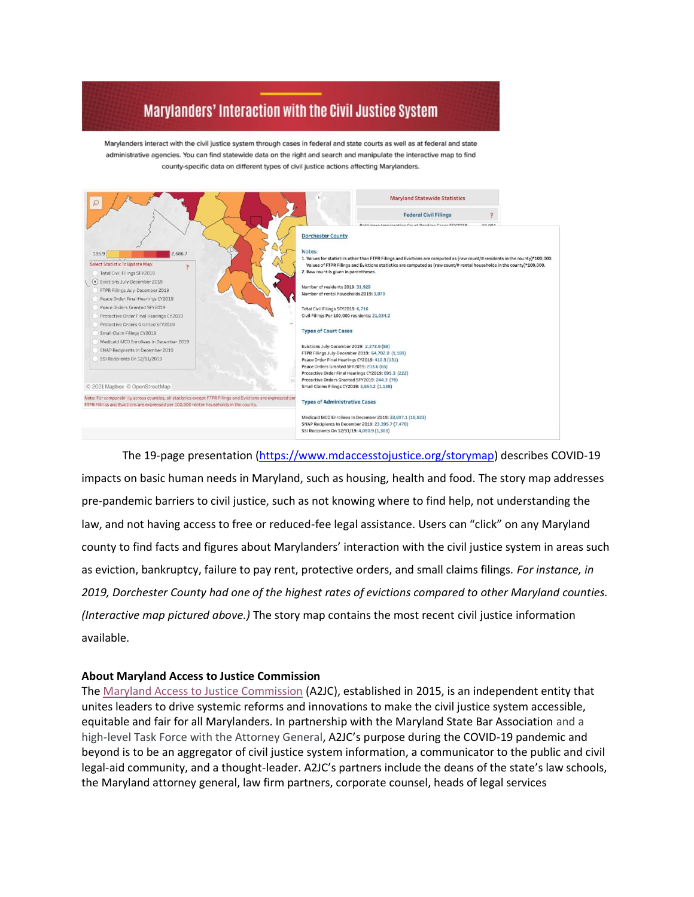## Marylanders' Interaction with the Civil Justice System

Marylanders interact with the civil justice system through cases in federal and state courts as well as at federal and state administrative agencies. You can find statewide data on the right and search and manipulate the interactive map to find county-specific data on different types of civil justice actions affecting Marylanders.



The 19-page presentation [\(https://www.mdaccesstojustice.org/storymap\)](https://www.mdaccesstojustice.org/storymap) describes COVID-19 impacts on basic human needs in Maryland, such as housing, health and food. The story map addresses pre-pandemic barriers to civil justice, such as not knowing where to find help, not understanding the law, and not having access to free or reduced-fee legal assistance. Users can "click" on any Maryland county to find facts and figures about Marylanders' interaction with the civil justice system in areas such as eviction, bankruptcy, failure to pay rent, protective orders, and small claims filings. *For instance, in 2019, Dorchester County had one of the highest rates of evictions compared to other Maryland counties. (Interactive map pictured above.)* The story map contains the most recent civil justice information available.

## **About Maryland Access to Justice Commission**

Th[e](https://www.mdaccesstojustice.org/) [Maryland Access to Justice Commission](https://www.mdaccesstojustice.org/) (A2JC), established in 2015, is an independent entity that unites leaders to drive systemic reforms and innovations to make the civil justice system accessible, equitable and fair for all Marylanders. In partnership with the Maryland State Bar Association and a high-level Task Force with the Attorney General, A2JC's purpose during the COVID-19 pandemic and beyond is to be an aggregator of civil justice system information, a communicator to the public and civil legal-aid community, and a thought-leader. A2JC's partners include the deans of the state's law schools, the Maryland attorney general, law firm partners, corporate counsel, heads of legal services